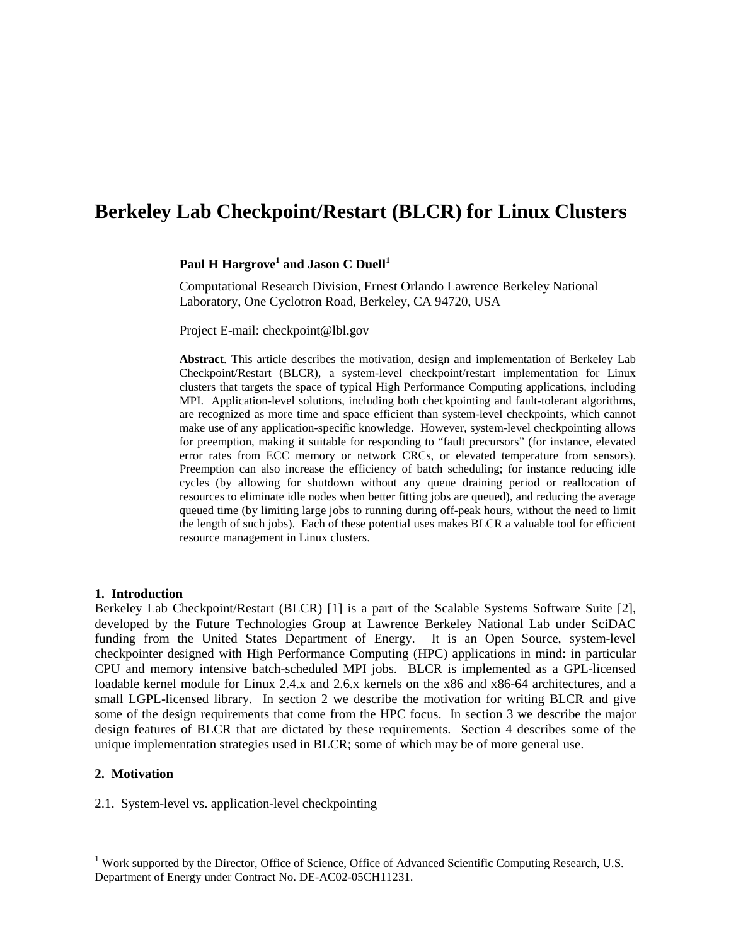# **Berkeley Lab Checkpoint/Restart (BLCR) for Linux Clusters**

**Paul H Hargrove<sup>1</sup> and Jason C Duell<sup>1</sup>**

Computational Research Division, Ernest Orlando Lawrence Berkeley National Laboratory, One Cyclotron Road, Berkeley, CA 94720, USA

Project E-mail: checkpoint@lbl.gov

**Abstract**. This article describes the motivation, design and implementation of Berkeley Lab Checkpoint/Restart (BLCR), a system-level checkpoint/restart implementation for Linux clusters that targets the space of typical High Performance Computing applications, including MPI. Application-level solutions, including both checkpointing and fault-tolerant algorithms, are recognized as more time and space efficient than system-level checkpoints, which cannot make use of any application-specific knowledge. However, system-level checkpointing allows for preemption, making it suitable for responding to "fault precursors" (for instance, elevated error rates from ECC memory or network CRCs, or elevated temperature from sensors). Preemption can also increase the efficiency of batch scheduling; for instance reducing idle cycles (by allowing for shutdown without any queue draining period or reallocation of resources to eliminate idle nodes when better fitting jobs are queued), and reducing the average queued time (by limiting large jobs to running during off-peak hours, without the need to limit the length of such jobs). Each of these potential uses makes BLCR a valuable tool for efficient resource management in Linux clusters.

### **1. Introduction**

Berkeley Lab Checkpoint/Restart (BLCR) [1] is a part of the Scalable Systems Software Suite [2], developed by the Future Technologies Group at Lawrence Berkeley National Lab under SciDAC funding from the United States Department of Energy. It is an Open Source, system-level checkpointer designed with High Performance Computing (HPC) applications in mind: in particular CPU and memory intensive batch-scheduled MPI jobs. BLCR is implemented as a GPL-licensed loadable kernel module for Linux 2.4.x and 2.6.x kernels on the x86 and x86-64 architectures, and a small LGPL-licensed library. In section 2 we describe the motivation for writing BLCR and give some of the design requirements that come from the HPC focus. In section 3 we describe the major design features of BLCR that are dictated by these requirements. Section 4 describes some of the unique implementation strategies used in BLCR; some of which may be of more general use.

## **2. Motivation**

-

2.1. System-level vs. application-level checkpointing

<sup>&</sup>lt;sup>1</sup> Work supported by the Director, Office of Science, Office of Advanced Scientific Computing Research, U.S. Department of Energy under Contract No. DE-AC02-05CH11231.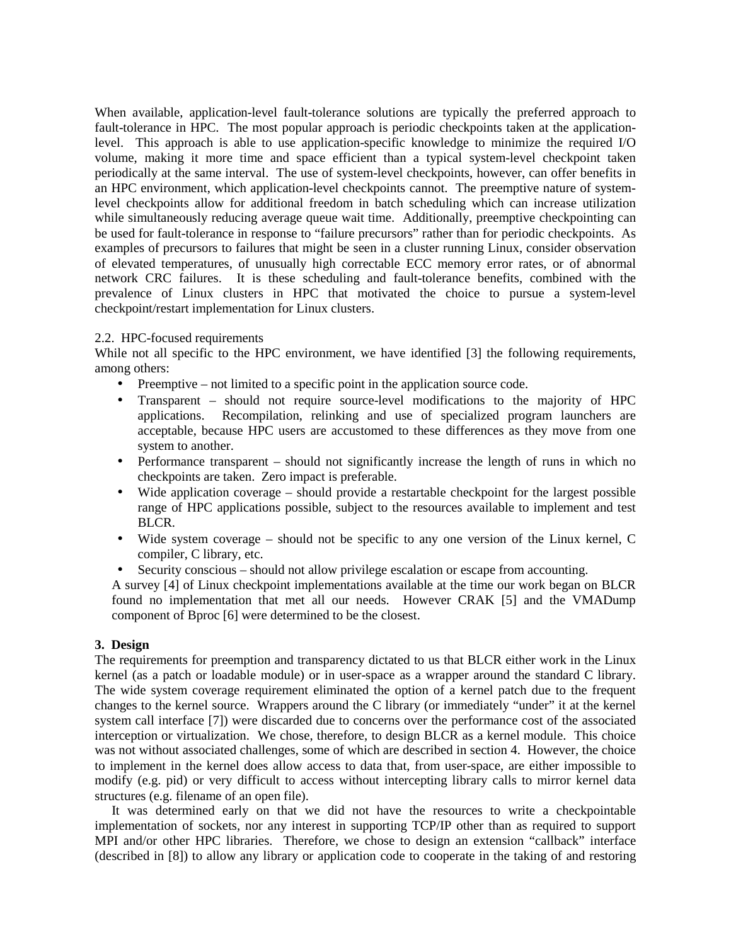When available, application-level fault-tolerance solutions are typically the preferred approach to fault-tolerance in HPC. The most popular approach is periodic checkpoints taken at the applicationlevel. This approach is able to use application-specific knowledge to minimize the required I/O volume, making it more time and space efficient than a typical system-level checkpoint taken periodically at the same interval. The use of system-level checkpoints, however, can offer benefits in an HPC environment, which application-level checkpoints cannot. The preemptive nature of systemlevel checkpoints allow for additional freedom in batch scheduling which can increase utilization while simultaneously reducing average queue wait time. Additionally, preemptive checkpointing can be used for fault-tolerance in response to "failure precursors" rather than for periodic checkpoints. As examples of precursors to failures that might be seen in a cluster running Linux, consider observation of elevated temperatures, of unusually high correctable ECC memory error rates, or of abnormal network CRC failures. It is these scheduling and fault-tolerance benefits, combined with the prevalence of Linux clusters in HPC that motivated the choice to pursue a system-level checkpoint/restart implementation for Linux clusters.

## 2.2. HPC-focused requirements

While not all specific to the HPC environment, we have identified [3] the following requirements, among others:

- Preemptive not limited to a specific point in the application source code.
- Transparent should not require source-level modifications to the majority of HPC applications. Recompilation, relinking and use of specialized program launchers are acceptable, because HPC users are accustomed to these differences as they move from one system to another.
- Performance transparent should not significantly increase the length of runs in which no checkpoints are taken. Zero impact is preferable.
- Wide application coverage should provide a restartable checkpoint for the largest possible range of HPC applications possible, subject to the resources available to implement and test BLCR.
- Wide system coverage should not be specific to any one version of the Linux kernel, C compiler, C library, etc.
- Security conscious should not allow privilege escalation or escape from accounting.

A survey [4] of Linux checkpoint implementations available at the time our work began on BLCR found no implementation that met all our needs. However CRAK [5] and the VMADump component of Bproc [6] were determined to be the closest.

## **3. Design**

The requirements for preemption and transparency dictated to us that BLCR either work in the Linux kernel (as a patch or loadable module) or in user-space as a wrapper around the standard C library. The wide system coverage requirement eliminated the option of a kernel patch due to the frequent changes to the kernel source. Wrappers around the C library (or immediately "under" it at the kernel system call interface [7]) were discarded due to concerns over the performance cost of the associated interception or virtualization. We chose, therefore, to design BLCR as a kernel module. This choice was not without associated challenges, some of which are described in section 4. However, the choice to implement in the kernel does allow access to data that, from user-space, are either impossible to modify (e.g. pid) or very difficult to access without intercepting library calls to mirror kernel data structures (e.g. filename of an open file).

It was determined early on that we did not have the resources to write a checkpointable implementation of sockets, nor any interest in supporting TCP/IP other than as required to support MPI and/or other HPC libraries. Therefore, we chose to design an extension "callback" interface (described in [8]) to allow any library or application code to cooperate in the taking of and restoring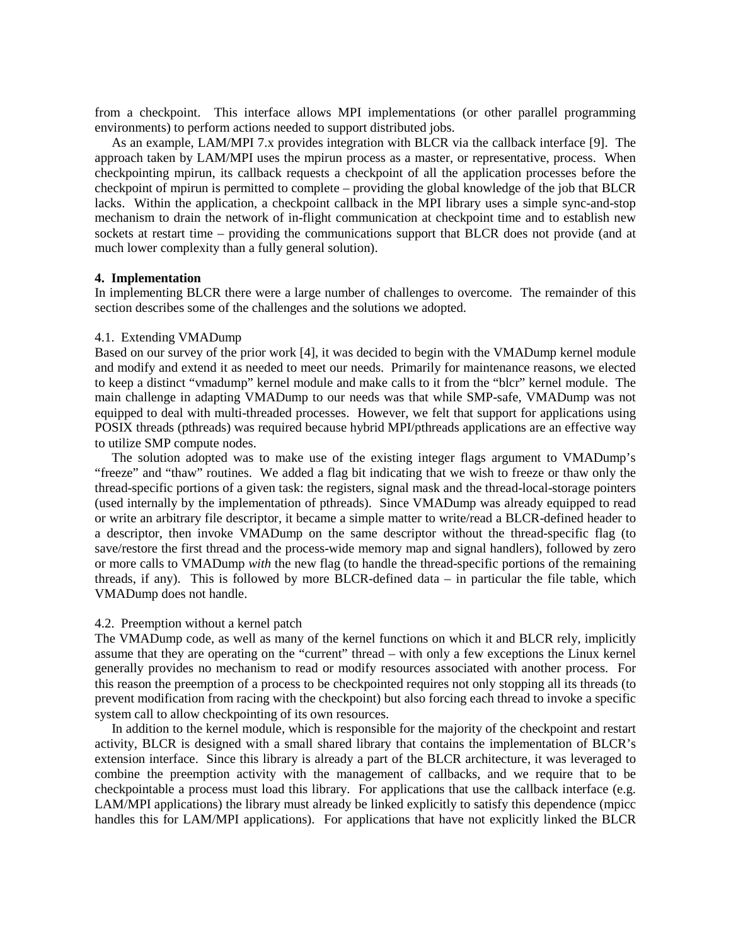from a checkpoint. This interface allows MPI implementations (or other parallel programming environments) to perform actions needed to support distributed jobs.

As an example, LAM/MPI 7.x provides integration with BLCR via the callback interface [9]. The approach taken by LAM/MPI uses the mpirun process as a master, or representative, process. When checkpointing mpirun, its callback requests a checkpoint of all the application processes before the checkpoint of mpirun is permitted to complete – providing the global knowledge of the job that BLCR lacks. Within the application, a checkpoint callback in the MPI library uses a simple sync-and-stop mechanism to drain the network of in-flight communication at checkpoint time and to establish new sockets at restart time – providing the communications support that BLCR does not provide (and at much lower complexity than a fully general solution).

### **4. Implementation**

In implementing BLCR there were a large number of challenges to overcome. The remainder of this section describes some of the challenges and the solutions we adopted.

#### 4.1. Extending VMADump

Based on our survey of the prior work [4], it was decided to begin with the VMADump kernel module and modify and extend it as needed to meet our needs. Primarily for maintenance reasons, we elected to keep a distinct "vmadump" kernel module and make calls to it from the "blcr" kernel module. The main challenge in adapting VMADump to our needs was that while SMP-safe, VMADump was not equipped to deal with multi-threaded processes. However, we felt that support for applications using POSIX threads (pthreads) was required because hybrid MPI/pthreads applications are an effective way to utilize SMP compute nodes.

The solution adopted was to make use of the existing integer flags argument to VMADump's "freeze" and "thaw" routines. We added a flag bit indicating that we wish to freeze or thaw only the thread-specific portions of a given task: the registers, signal mask and the thread-local-storage pointers (used internally by the implementation of pthreads). Since VMADump was already equipped to read or write an arbitrary file descriptor, it became a simple matter to write/read a BLCR-defined header to a descriptor, then invoke VMADump on the same descriptor without the thread-specific flag (to save/restore the first thread and the process-wide memory map and signal handlers), followed by zero or more calls to VMADump *with* the new flag (to handle the thread-specific portions of the remaining threads, if any). This is followed by more BLCR-defined data – in particular the file table, which VMADump does not handle.

#### 4.2. Preemption without a kernel patch

The VMADump code, as well as many of the kernel functions on which it and BLCR rely, implicitly assume that they are operating on the "current" thread – with only a few exceptions the Linux kernel generally provides no mechanism to read or modify resources associated with another process. For this reason the preemption of a process to be checkpointed requires not only stopping all its threads (to prevent modification from racing with the checkpoint) but also forcing each thread to invoke a specific system call to allow checkpointing of its own resources.

In addition to the kernel module, which is responsible for the majority of the checkpoint and restart activity, BLCR is designed with a small shared library that contains the implementation of BLCR's extension interface. Since this library is already a part of the BLCR architecture, it was leveraged to combine the preemption activity with the management of callbacks, and we require that to be checkpointable a process must load this library. For applications that use the callback interface (e.g. LAM/MPI applications) the library must already be linked explicitly to satisfy this dependence (mpicc handles this for LAM/MPI applications). For applications that have not explicitly linked the BLCR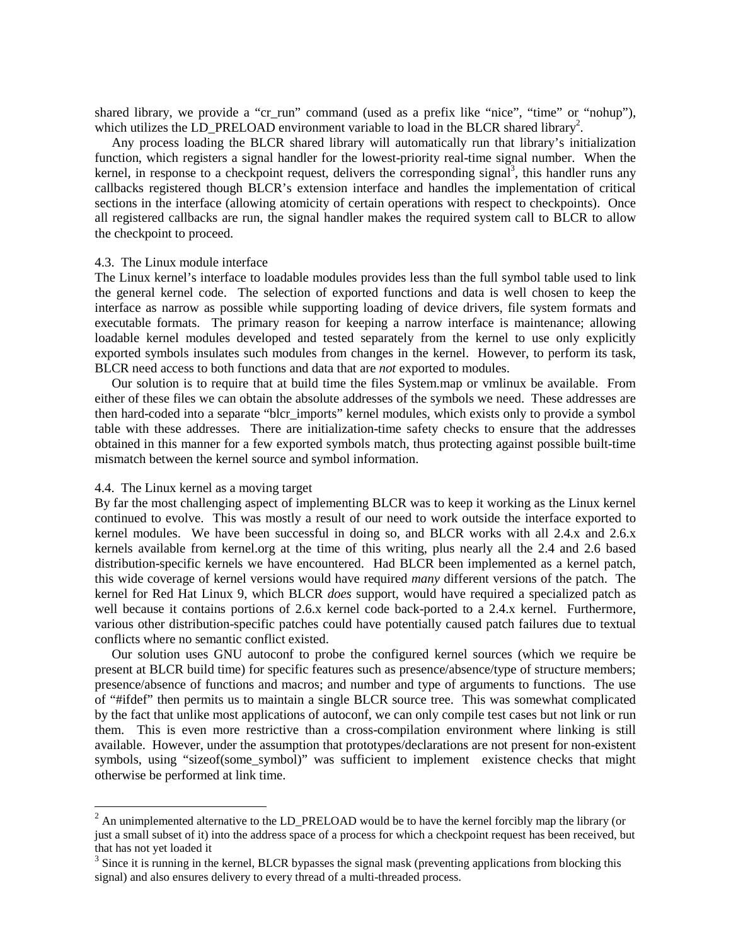shared library, we provide a "cr\_run" command (used as a prefix like "nice", "time" or "nohup"), which utilizes the  $LD$ -PRELOAD environment variable to load in the BLCR shared library<sup>2</sup>.

Any process loading the BLCR shared library will automatically run that library's initialization function, which registers a signal handler for the lowest-priority real-time signal number. When the kernel, in response to a checkpoint request, delivers the corresponding signal<sup>3</sup>, this handler runs any callbacks registered though BLCR's extension interface and handles the implementation of critical sections in the interface (allowing atomicity of certain operations with respect to checkpoints). Once all registered callbacks are run, the signal handler makes the required system call to BLCR to allow the checkpoint to proceed.

### 4.3. The Linux module interface

The Linux kernel's interface to loadable modules provides less than the full symbol table used to link the general kernel code. The selection of exported functions and data is well chosen to keep the interface as narrow as possible while supporting loading of device drivers, file system formats and executable formats. The primary reason for keeping a narrow interface is maintenance; allowing loadable kernel modules developed and tested separately from the kernel to use only explicitly exported symbols insulates such modules from changes in the kernel. However, to perform its task, BLCR need access to both functions and data that are *not* exported to modules.

Our solution is to require that at build time the files System.map or vmlinux be available. From either of these files we can obtain the absolute addresses of the symbols we need. These addresses are then hard-coded into a separate "blcr\_imports" kernel modules, which exists only to provide a symbol table with these addresses. There are initialization-time safety checks to ensure that the addresses obtained in this manner for a few exported symbols match, thus protecting against possible built-time mismatch between the kernel source and symbol information.

## 4.4. The Linux kernel as a moving target

-

By far the most challenging aspect of implementing BLCR was to keep it working as the Linux kernel continued to evolve. This was mostly a result of our need to work outside the interface exported to kernel modules. We have been successful in doing so, and BLCR works with all 2.4.x and 2.6.x kernels available from kernel.org at the time of this writing, plus nearly all the 2.4 and 2.6 based distribution-specific kernels we have encountered. Had BLCR been implemented as a kernel patch, this wide coverage of kernel versions would have required *many* different versions of the patch. The kernel for Red Hat Linux 9, which BLCR *does* support, would have required a specialized patch as well because it contains portions of 2.6.x kernel code back-ported to a 2.4.x kernel. Furthermore, various other distribution-specific patches could have potentially caused patch failures due to textual conflicts where no semantic conflict existed.

Our solution uses GNU autoconf to probe the configured kernel sources (which we require be present at BLCR build time) for specific features such as presence/absence/type of structure members; presence/absence of functions and macros; and number and type of arguments to functions. The use of "#ifdef" then permits us to maintain a single BLCR source tree. This was somewhat complicated by the fact that unlike most applications of autoconf, we can only compile test cases but not link or run them. This is even more restrictive than a cross-compilation environment where linking is still available. However, under the assumption that prototypes/declarations are not present for non-existent symbols, using "sizeof(some\_symbol)" was sufficient to implement existence checks that might otherwise be performed at link time.

 $2$  An unimplemented alternative to the LD\_PRELOAD would be to have the kernel forcibly map the library (or just a small subset of it) into the address space of a process for which a checkpoint request has been received, but that has not yet loaded it

 $3$  Since it is running in the kernel, BLCR bypasses the signal mask (preventing applications from blocking this signal) and also ensures delivery to every thread of a multi-threaded process.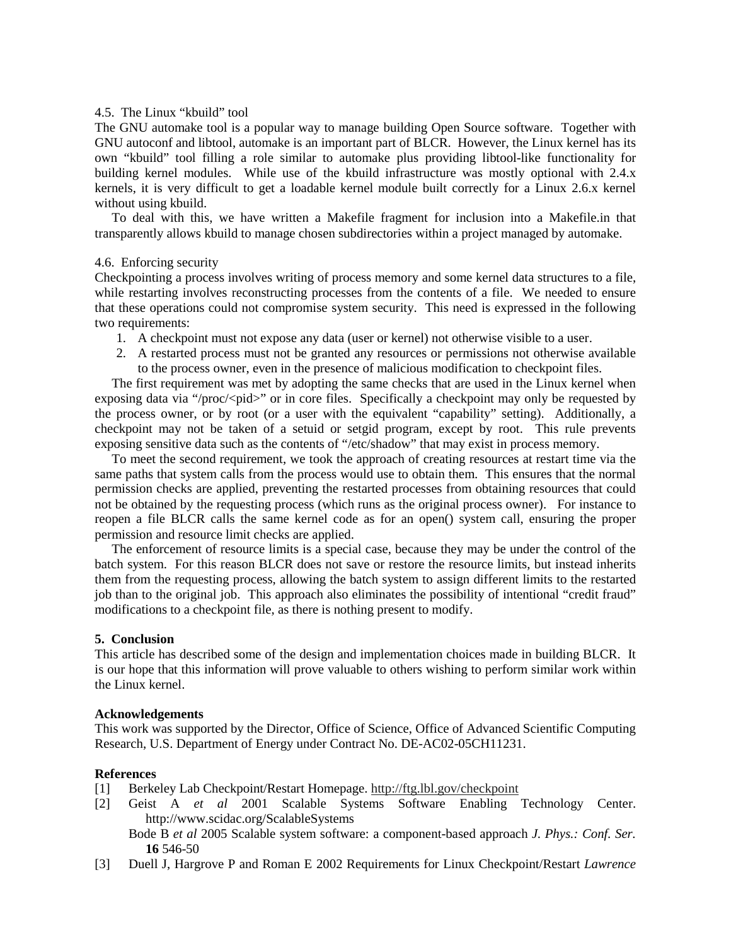## 4.5. The Linux "kbuild" tool

The GNU automake tool is a popular way to manage building Open Source software. Together with GNU autoconf and libtool, automake is an important part of BLCR. However, the Linux kernel has its own "kbuild" tool filling a role similar to automake plus providing libtool-like functionality for building kernel modules. While use of the kbuild infrastructure was mostly optional with 2.4.x kernels, it is very difficult to get a loadable kernel module built correctly for a Linux 2.6.x kernel without using kbuild.

To deal with this, we have written a Makefile fragment for inclusion into a Makefile.in that transparently allows kbuild to manage chosen subdirectories within a project managed by automake.

### 4.6. Enforcing security

Checkpointing a process involves writing of process memory and some kernel data structures to a file, while restarting involves reconstructing processes from the contents of a file. We needed to ensure that these operations could not compromise system security. This need is expressed in the following two requirements:

- 1. A checkpoint must not expose any data (user or kernel) not otherwise visible to a user.
- 2. A restarted process must not be granted any resources or permissions not otherwise available to the process owner, even in the presence of malicious modification to checkpoint files.

The first requirement was met by adopting the same checks that are used in the Linux kernel when exposing data via "/proc/<pid>" or in core files. Specifically a checkpoint may only be requested by the process owner, or by root (or a user with the equivalent "capability" setting). Additionally, a checkpoint may not be taken of a setuid or setgid program, except by root. This rule prevents exposing sensitive data such as the contents of "/etc/shadow" that may exist in process memory.

To meet the second requirement, we took the approach of creating resources at restart time via the same paths that system calls from the process would use to obtain them. This ensures that the normal permission checks are applied, preventing the restarted processes from obtaining resources that could not be obtained by the requesting process (which runs as the original process owner). For instance to reopen a file BLCR calls the same kernel code as for an open() system call, ensuring the proper permission and resource limit checks are applied.

The enforcement of resource limits is a special case, because they may be under the control of the batch system. For this reason BLCR does not save or restore the resource limits, but instead inherits them from the requesting process, allowing the batch system to assign different limits to the restarted job than to the original job. This approach also eliminates the possibility of intentional "credit fraud" modifications to a checkpoint file, as there is nothing present to modify.

## **5. Conclusion**

This article has described some of the design and implementation choices made in building BLCR. It is our hope that this information will prove valuable to others wishing to perform similar work within the Linux kernel.

#### **Acknowledgements**

This work was supported by the Director, Office of Science, Office of Advanced Scientific Computing Research, U.S. Department of Energy under Contract No. DE-AC02-05CH11231.

### **References**

- [1] Berkeley Lab Checkpoint/Restart Homepage. http://ftg.lbl.gov/checkpoint
- [2] Geist A *et al* 2001 Scalable Systems Software Enabling Technology Center. http://www.scidac.org/ScalableSystems Bode B *et al* 2005 Scalable system software: a component-based approach *J. Phys.: Conf. Ser.*

**16** 546-50

[3] Duell J, Hargrove P and Roman E 2002 Requirements for Linux Checkpoint/Restart *Lawrence*